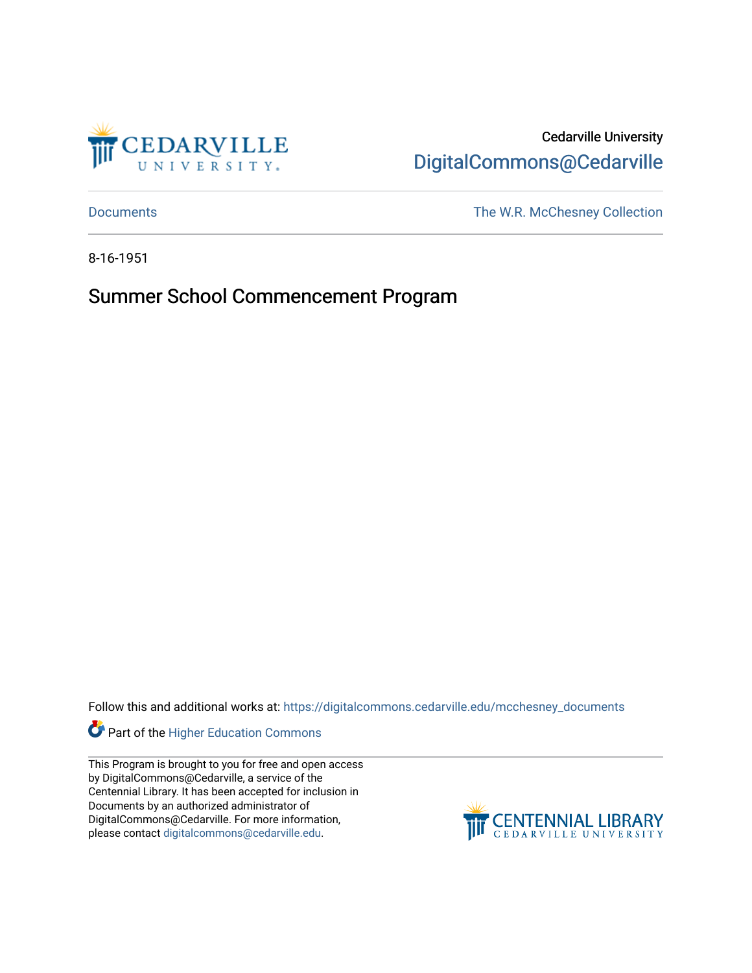

Cedarville University [DigitalCommons@Cedarville](https://digitalcommons.cedarville.edu/) 

[Documents](https://digitalcommons.cedarville.edu/mcchesney_documents) [The W.R. McChesney Collection](https://digitalcommons.cedarville.edu/mcchesney_collection) 

8-16-1951

Summer School Commencement Program

Follow this and additional works at: [https://digitalcommons.cedarville.edu/mcchesney\\_documents](https://digitalcommons.cedarville.edu/mcchesney_documents?utm_source=digitalcommons.cedarville.edu%2Fmcchesney_documents%2F7&utm_medium=PDF&utm_campaign=PDFCoverPages) 

Part of the [Higher Education Commons](http://network.bepress.com/hgg/discipline/1245?utm_source=digitalcommons.cedarville.edu%2Fmcchesney_documents%2F7&utm_medium=PDF&utm_campaign=PDFCoverPages) 

This Program is brought to you for free and open access by DigitalCommons@Cedarville, a service of the Centennial Library. It has been accepted for inclusion in Documents by an authorized administrator of DigitalCommons@Cedarville. For more information, please contact [digitalcommons@cedarville.edu](mailto:digitalcommons@cedarville.edu).

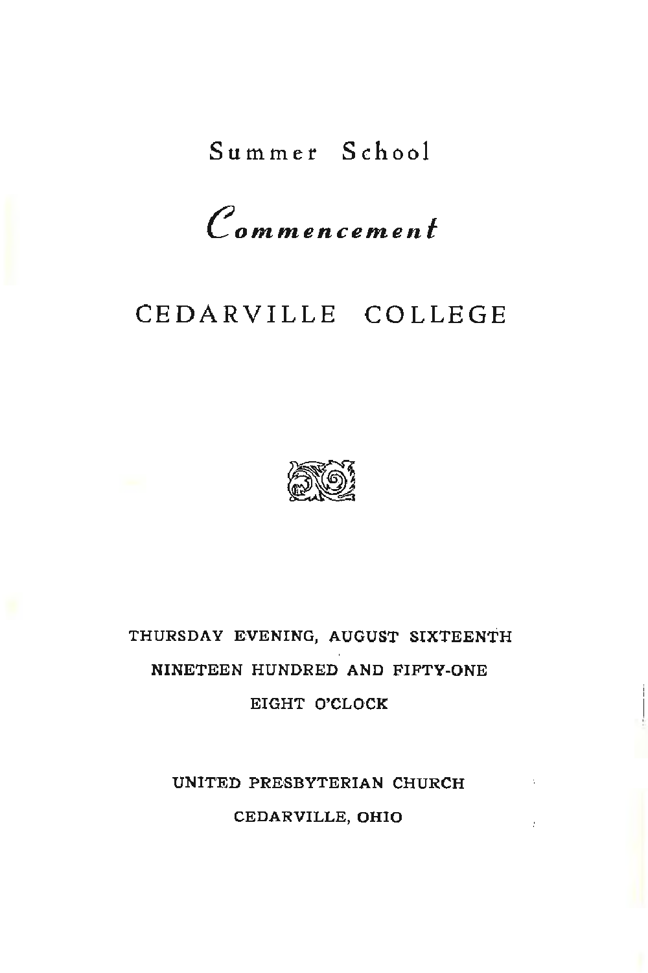# Summer School

*Commencement* 

## CEDARVILLE COLLEGE



# THURSDAY EVENING, AUGUST SIXTEENTH NINETEEN HUNDRED AND FIFTY-ONE EIGHT O'CLOCK

UNITED PRESBYTERIAN CHURCH CEDARVILLE, OHIO

÷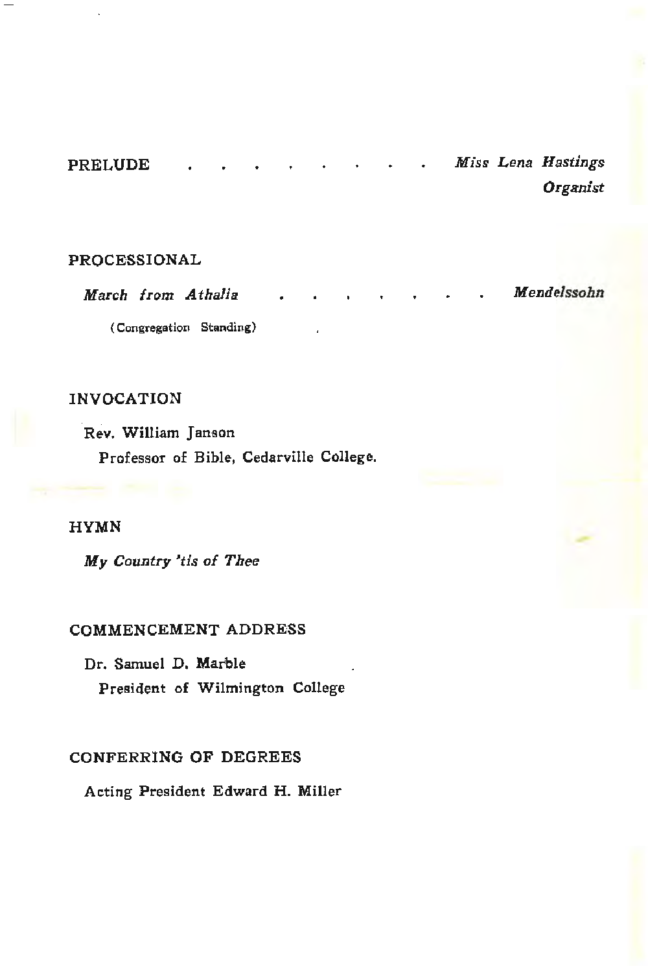| <b>PRELUDE</b> |  |  |  |  | Miss Lena Hastings |
|----------------|--|--|--|--|--------------------|
|                |  |  |  |  | Organist           |

### PROCESSIONAL

March from *Athalia*  ( Congregation Standing) *Mendelssohn* 

### INVOCATION

Rev. William Janson Professor of Bible, Cedarville College.

#### **HYMN**

My *Country 'tis of Thee* 

#### COMMENCEMENT ADDRESS

Dr. Samuel D, Marble President of Wilmington College

#### CONFERRING OF DEGREES

Acting President Edward H. Miller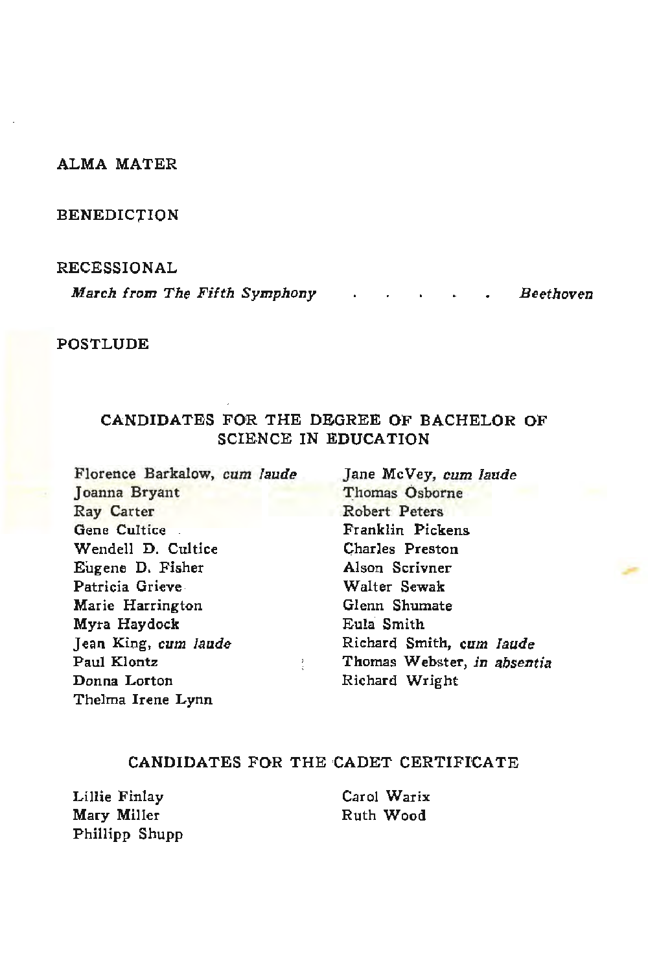#### **ALMA** MATER

#### BENEDICTION

#### RECESSIONAL

*March from The Fifth Symphony* . . . . . Beethoven

#### POSTLUDE

#### CANDIDATES FOR THE DEGREE OF BACHELOR OF SCIENCE IN EDUCATION

Florence Barkalow, *cum laude*  Joanna Bryant Ray Carter Gene Cultice Wendell D. Cultice Eugene D. Fisher Patricia Grieve Marie Harrington Myra Haydock Jean King, cum laude Paul Klontz Donna Lorton Thelma Irene Lynn

Jane McVey, cum laude Thomas Osborne Robert Peters Franklin Pickens Charles Preston Alson Scrivner Walter Sewak Glenn Shumate Eu!a Smith Richard Smith, cum laude Thomas Webster, *in absentia*  Richard Wright

#### CANDIDATES FOR THE CADET CERTIFICATE

Lillie Finlay Mary Miller Phillipp Shupp Carol Warix Ruth Wood